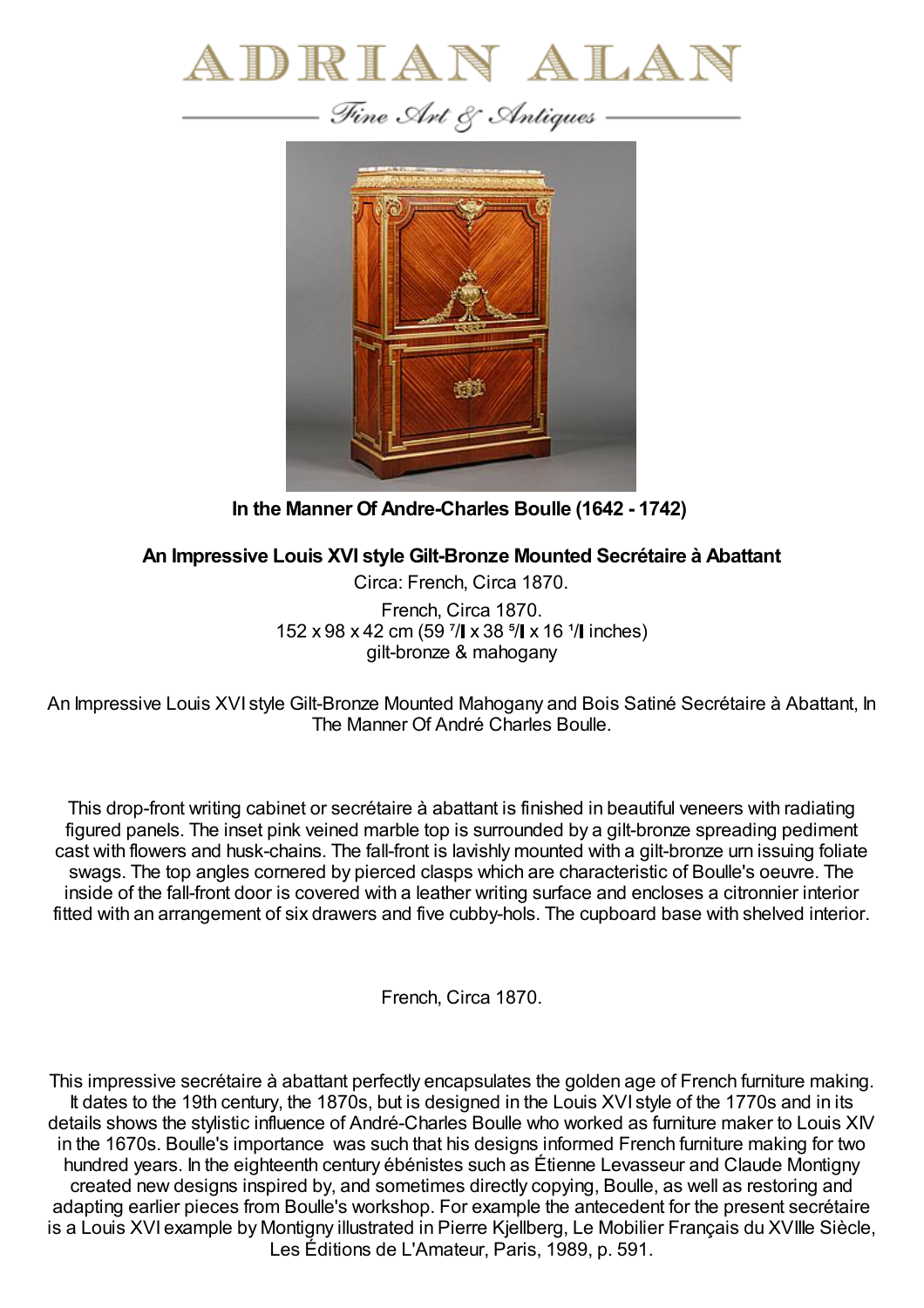



**In the Manner Of Andre-Charles Boulle (1642 - 1742)**

## **An Impressive Louis XVI style Gilt-Bronze Mounted Secrétaire à Abattant**

Circa: French, Circa 1870. French, Circa 1870. 152 x 98 x 42 cm (59  $\frac{7}{1}$  x 38  $\frac{5}{1}$  x 16  $\frac{1}{1}$  inches) gilt-bronze & mahogany

An Impressive Louis XVI style Gilt-Bronze Mounted Mahogany and Bois Satiné Secrétaire à Abattant, In The Manner Of André Charles Boulle.

This drop-front writing cabinet or secrétaire à abattant is finished in beautiful veneers with radiating figured panels. The inset pink veined marble top is surrounded by a gilt-bronze spreading pediment cast with flowers and husk-chains. The fall-front is lavishly mounted with a gilt-bronze urn issuing foliate swags. The top angles cornered by pierced clasps which are characteristic of Boulle's oeuvre. The inside of the fall-front door is covered with a leather writing surface and encloses a citronnier interior fitted with an arrangement of six drawers and five cubby-hols. The cupboard base with shelved interior.

French, Circa 1870.

This impressive secrétaire à abattant perfectly encapsulates the golden age of French furniture making. It dates to the 19th century, the 1870s, but is designed in the Louis XVI style of the 1770s and in its details shows the stylistic influence of André-Charles Boulle who worked as furniture maker to Louis XIV in the 1670s. Boulle's importance was such that his designs informed French furniture making for two hundred years. In the eighteenth century ébénistes such as Étienne Levasseur and Claude Montigny created new designs inspired by, and sometimes directly copying, Boulle, as well as restoring and adapting earlier pieces from Boulle's workshop. For example the antecedent for the present secrétaire is a Louis XVI example by Montigny illustrated in Pierre Kjellberg, Le Mobilier Français du XVIIIe Siècle, Les Éditions de L'Amateur, Paris, 1989, p. 591.